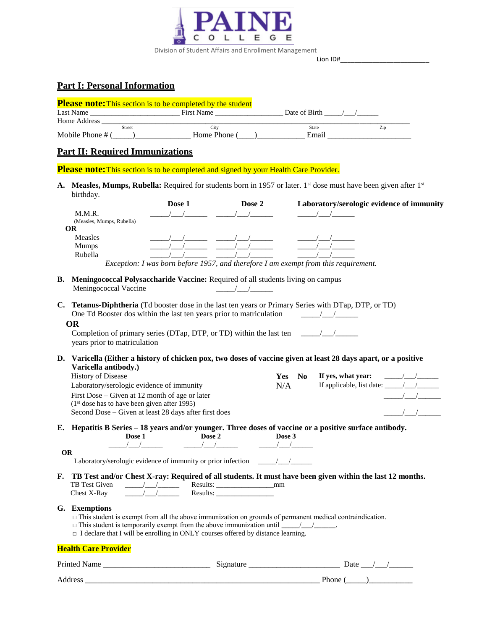

Lion ID#\_\_\_\_\_\_\_\_\_\_\_\_\_\_\_\_\_\_\_\_\_\_\_\_\_

## **Part I: Personal Information**

| <b>Please note:</b> This section is to be completed by the student |               |              |               |     |  |  |  |
|--------------------------------------------------------------------|---------------|--------------|---------------|-----|--|--|--|
| Last Name                                                          |               | First Name   | Date of Birth |     |  |  |  |
| Home Address                                                       |               |              |               |     |  |  |  |
|                                                                    | <b>Street</b> | ∟`it∨        | State         | Zip |  |  |  |
| Mobile Phone # (                                                   |               | Home Phone ( | Email         |     |  |  |  |

# **Part II: Required Immunizations**

**Please note:** This section is to be completed and signed by your Health Care Provider.

**A. Measles, Mumps, Rubella:** Required for students born in 1957 or later. 1st dose must have been given after 1st birthday.

|                           | Dose 1 | Dose 2 | Laboratory/serologic evidence of immunity                                           |
|---------------------------|--------|--------|-------------------------------------------------------------------------------------|
| M.M.R.                    |        |        |                                                                                     |
| (Measles, Mumps, Rubella) |        |        |                                                                                     |
| OR                        |        |        |                                                                                     |
| Measles                   |        |        |                                                                                     |
| <b>Mumps</b>              |        |        |                                                                                     |
| Rubella                   |        |        |                                                                                     |
|                           |        |        | Exception: I was born before 1957, and therefore I am exempt from this requirement. |

- **B. Meningococcal Polysaccharide Vaccine:** Required of all students living on campus
	- Meningococcal Vaccine \_\_\_\_\_/\_\_\_/\_\_\_\_\_\_

| C. Tetanus-Diphtheria (Td booster dose in the last ten years or Primary Series with DTap, DTP, or TD) |  |
|-------------------------------------------------------------------------------------------------------|--|
| One Td Booster dos within the last ten years prior to matriculation                                   |  |

Completion of primary series (DTap, DTP, or TD) within the last ten  $\frac{1}{\sqrt{1-\frac{1}{n}}}\$ years prior to matriculation

**D. Varicella (Either a history of chicken pox, two doses of vaccine given at least 28 days apart, or a positive Varicella antibody.)**

| <b>History of Disease</b>                             | <b>Yes</b> | If yes, what year:                             |  |
|-------------------------------------------------------|------------|------------------------------------------------|--|
| Laboratory/serologic evidence of immunity             | N/A        | If applicable, list date: $\frac{1}{\sqrt{2}}$ |  |
| First Dose – Given at 12 month of age or later        |            |                                                |  |
| $(1st$ dose has to have been given after 1995)        |            |                                                |  |
| Second Dose – Given at least 28 days after first does |            |                                                |  |

**E. Hepatitis B Series – 18 years and/or younger. Three doses of vaccine or a positive surface antibody. Dose 1 Dose 2 Dose 3**

| OR |                                                                                                                                             |  |
|----|---------------------------------------------------------------------------------------------------------------------------------------------|--|
|    | Laboratory/serologic evidence of immunity or prior infection ____________________                                                           |  |
|    | the contract of the contract of the contract of the contract of the contract of the contract of the contract of<br>$\overline{\phantom{a}}$ |  |

#### **F. TB Test and/or Chest X-ray: Required of all students. It must have been given within the last 12 months.** TB Test Given \_\_\_\_\_/\_\_\_/\_\_\_\_\_\_ Results: \_\_\_\_\_\_\_\_\_\_\_\_\_\_\_\_mm Chest X-Ray  $\frac{\sqrt{1-\frac{1}{2}}}{\sqrt{1-\frac{1}{2}}}}$  Results:

### **G. Exemptions**

- $\Box$  This student is exempt from all the above immunization on grounds of permanent medical contraindication.
- □ This student is temporarily exempt from the above immunization until \_\_\_\_\_/\_\_\_/\_\_\_\_\_\_.
- $\Box$  I declare that I will be enrolling in ONLY courses offered by distance learning.

#### **Health Care Provider**

| Printer<br>ame | $\sim$ $\sim$<br>້<br>.<br>. | Date         |
|----------------|------------------------------|--------------|
| Address        |                              | <b>Phone</b> |